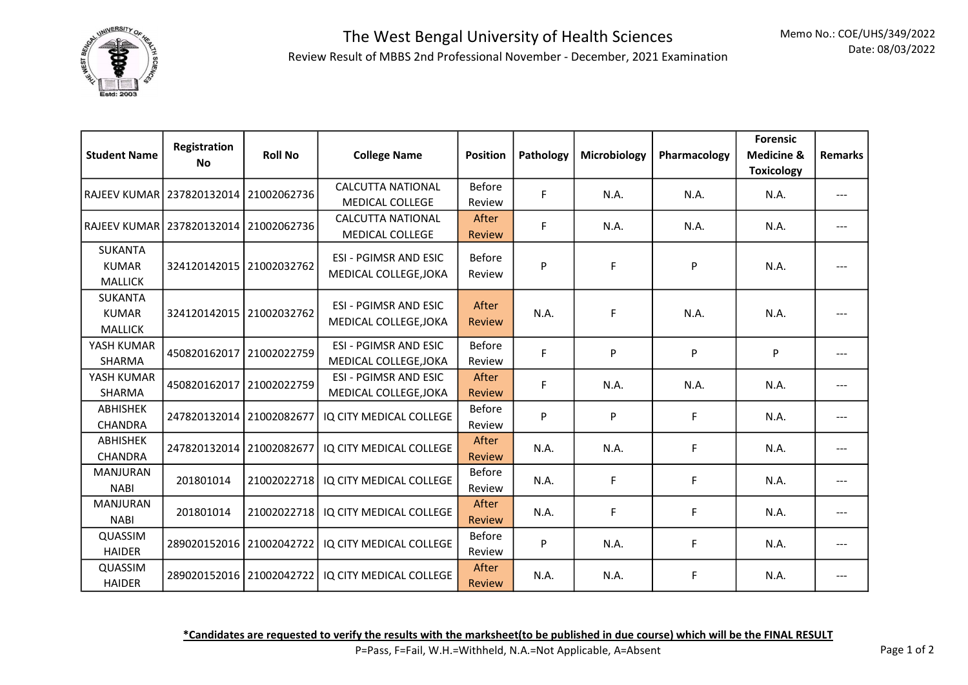

## The West Bengal University of Health Sciences Review Result of MBBS 2nd Professional November - December, 2021 Examination

| <b>Student Name</b>                              | Registration<br><b>No</b>             | <b>Roll No</b> | <b>College Name</b>                                   | <b>Position</b>         | Pathology | Microbiology | Pharmacology | <b>Forensic</b><br><b>Medicine &amp;</b><br><b>Toxicology</b> | <b>Remarks</b> |
|--------------------------------------------------|---------------------------------------|----------------|-------------------------------------------------------|-------------------------|-----------|--------------|--------------|---------------------------------------------------------------|----------------|
| RAJEEV KUMAR 237820132014                        |                                       | 21002062736    | <b>CALCUTTA NATIONAL</b><br><b>MEDICAL COLLEGE</b>    | <b>Before</b><br>Review | F         | N.A.         | N.A.         | N.A.                                                          | ---            |
|                                                  | RAJEEV KUMAR 237820132014 21002062736 |                | <b>CALCUTTA NATIONAL</b><br><b>MEDICAL COLLEGE</b>    | After<br><b>Review</b>  | F         | N.A.         | N.A.         | N.A.                                                          | ---            |
| <b>SUKANTA</b><br><b>KUMAR</b><br><b>MALLICK</b> | 324120142015 21002032762              |                | <b>ESI - PGIMSR AND ESIC</b><br>MEDICAL COLLEGE, JOKA | <b>Before</b><br>Review | P         | F            | P            | N.A.                                                          |                |
| <b>SUKANTA</b><br><b>KUMAR</b><br><b>MALLICK</b> | 324120142015 21002032762              |                | <b>ESI - PGIMSR AND ESIC</b><br>MEDICAL COLLEGE, JOKA | After<br><b>Review</b>  | N.A.      | F            | N.A.         | N.A.                                                          |                |
| YASH KUMAR<br>SHARMA                             | 450820162017                          | 21002022759    | <b>ESI - PGIMSR AND ESIC</b><br>MEDICAL COLLEGE, JOKA | <b>Before</b><br>Review | F.        | ${\sf P}$    | P            | P                                                             | ---            |
| YASH KUMAR<br>SHARMA                             | 450820162017                          | 21002022759    | <b>ESI - PGIMSR AND ESIC</b><br>MEDICAL COLLEGE, JOKA | After<br><b>Review</b>  | F.        | N.A.         | N.A.         | N.A.                                                          |                |
| <b>ABHISHEK</b><br><b>CHANDRA</b>                | 247820132014 21002082677              |                | IQ CITY MEDICAL COLLEGE                               | <b>Before</b><br>Review | P         | P            | F            | N.A.                                                          | ---            |
| <b>ABHISHEK</b><br><b>CHANDRA</b>                | 247820132014 21002082677              |                | IQ CITY MEDICAL COLLEGE                               | After<br><b>Review</b>  | N.A.      | N.A.         | F            | N.A.                                                          |                |
| <b>MANJURAN</b><br><b>NABI</b>                   | 201801014                             | 21002022718    | IQ CITY MEDICAL COLLEGE                               | <b>Before</b><br>Review | N.A.      | F            | F            | N.A.                                                          | ---            |
| <b>MANJURAN</b><br><b>NABI</b>                   | 201801014                             | 21002022718    | IQ CITY MEDICAL COLLEGE                               | After<br><b>Review</b>  | N.A.      | F            | F            | N.A.                                                          |                |
| QUASSIM<br><b>HAIDER</b>                         | 289020152016 21002042722              |                | IQ CITY MEDICAL COLLEGE                               | <b>Before</b><br>Review | P         | N.A.         | F            | N.A.                                                          | ---            |
| QUASSIM<br><b>HAIDER</b>                         | 289020152016 21002042722              |                | IQ CITY MEDICAL COLLEGE                               | After<br>Review         | N.A.      | N.A.         | F            | N.A.                                                          |                |

\*Candidates are requested to verify the results with the marksheet(to be published in due course) which will be the FINAL RESULT